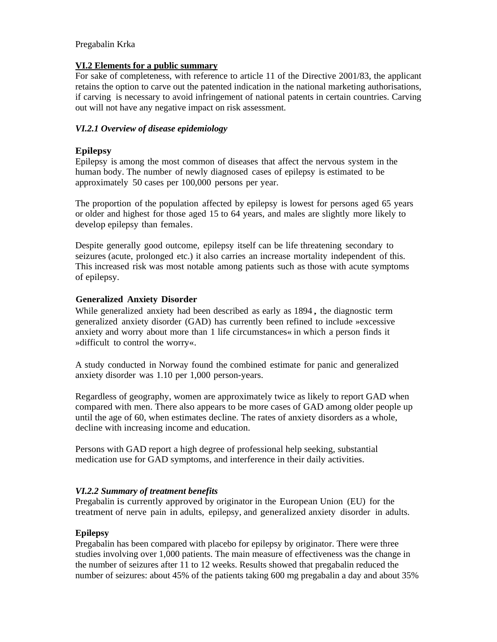### **VI.2 Elements for a public summary**

For sake of completeness, with reference to article 11 of the Directive 2001/83, the applicant retains the option to carve out the patented indication in the national marketing authorisations, if carving is necessary to avoid infringement of national patents in certain countries. Carving out will not have any negative impact on risk assessment.

## *VI.2.1 Overview of disease epidemiology*

## **Epilepsy**

• approximately 50 cases per 100,000 persons per year. Epilepsy is among the most common of diseases that affect the nervous system in the human body. The number of newly diagnosed cases of epilepsy is estimated to be

The proportion of the population affected by epilepsy is lowest for persons aged 65 years or older and highest for those aged 15 to 64 years, and males are slightly more likely to develop epilepsy than females.

Despite generally good outcome, epilepsy itself can be life threatening secondary to seizures (acute, prolonged etc.) it also carries an increase mortality independent of this. This increased risk was most notable among patients such as those with acute symptoms of epilepsy.

## **Generalized Anxiety Disorder**

While generalized anxiety had been described as early as 1894 , the diagnostic term generalized anxiety disorder (GAD) has currently been refined to include »excessive anxiety and worry about more than 1 life circumstances« in which a person finds it »difficult to control the worry«.

A study conducted in Norway found the combined estimate for panic and generalized anxiety disorder was 1.10 per 1,000 person-years.

Regardless of geography, women are approximately twice as likely to report GAD when compared with men. There also appears to be more cases of GAD among older people up until the age of 60, when estimates decline. The rates of anxiety disorders as a whole, decline with increasing income and education.

Persons with GAD report a high degree of professional help seeking, substantial medication use for GAD symptoms, and interference in their daily activities.

## *VI.2.2 Summary of treatment benefits*

Pregabalin is currently approved by originator in the European Union (EU) for the treatment of nerve pain in adults, epilepsy, and generalized anxiety disorder in adults.

#### **Epilepsy**

Pregabalin has been compared with placebo for epilepsy by originator. There were three studies involving over 1,000 patients. The main measure of effectiveness was the change in the number of seizures after 11 to 12 weeks. Results showed that pregabalin reduced the number of seizures: about 45% of the patients taking 600 mg pregabalin a day and about 35%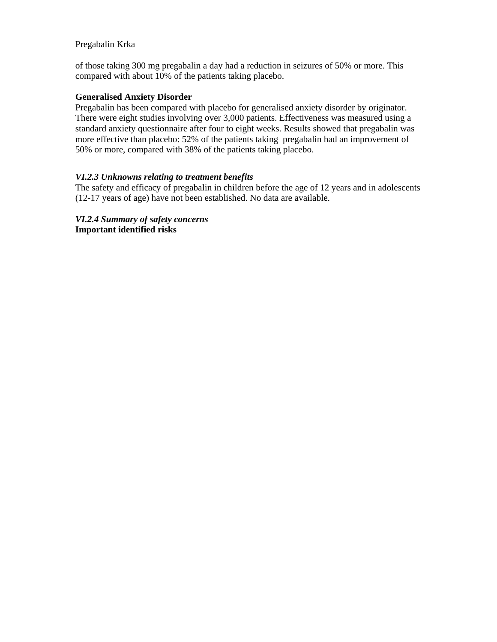of those taking 300 mg pregabalin a day had a reduction in seizures of 50% or more. This compared with about 10% of the patients taking placebo.

#### **Generalised Anxiety Disorder**

Pregabalin has been compared with placebo for generalised anxiety disorder by originator. There were eight studies involving over 3,000 patients. Effectiveness was measured using a standard anxiety questionnaire after four to eight weeks. Results showed that pregabalin was more effective than placebo: 52% of the patients taking pregabalin had an improvement of 50% or more, compared with 38% of the patients taking placebo.

#### *VI.2.3 Unknowns relating to treatment benefits*

The safety and efficacy of pregabalin in children before the age of 12 years and in adolescents (12-17 years of age) have not been established. No data are available.

*VI.2.4 Summary of safety concerns*  **Important identified risks**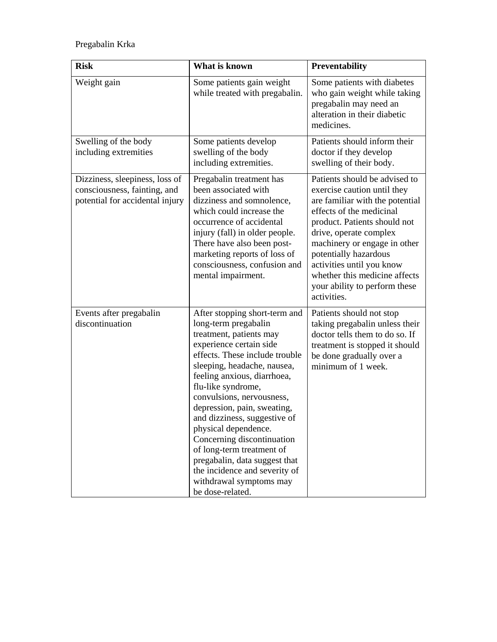| <b>Risk</b>                                                                                       | What is known                                                                                                                                                                                                                                                                                                                                                                                                                                                                                                                     | <b>Preventability</b>                                                                                                                                                                                                                                                                                                                                        |
|---------------------------------------------------------------------------------------------------|-----------------------------------------------------------------------------------------------------------------------------------------------------------------------------------------------------------------------------------------------------------------------------------------------------------------------------------------------------------------------------------------------------------------------------------------------------------------------------------------------------------------------------------|--------------------------------------------------------------------------------------------------------------------------------------------------------------------------------------------------------------------------------------------------------------------------------------------------------------------------------------------------------------|
| Weight gain                                                                                       | Some patients gain weight<br>while treated with pregabalin.                                                                                                                                                                                                                                                                                                                                                                                                                                                                       | Some patients with diabetes<br>who gain weight while taking<br>pregabalin may need an<br>alteration in their diabetic<br>medicines.                                                                                                                                                                                                                          |
| Swelling of the body<br>including extremities                                                     | Some patients develop<br>swelling of the body<br>including extremities.                                                                                                                                                                                                                                                                                                                                                                                                                                                           | Patients should inform their<br>doctor if they develop<br>swelling of their body.                                                                                                                                                                                                                                                                            |
| Dizziness, sleepiness, loss of<br>consciousness, fainting, and<br>potential for accidental injury | Pregabalin treatment has<br>been associated with<br>dizziness and somnolence,<br>which could increase the<br>occurrence of accidental<br>injury (fall) in older people.<br>There have also been post-<br>marketing reports of loss of<br>consciousness, confusion and<br>mental impairment.                                                                                                                                                                                                                                       | Patients should be advised to<br>exercise caution until they<br>are familiar with the potential<br>effects of the medicinal<br>product. Patients should not<br>drive, operate complex<br>machinery or engage in other<br>potentially hazardous<br>activities until you know<br>whether this medicine affects<br>your ability to perform these<br>activities. |
| Events after pregabalin<br>discontinuation                                                        | After stopping short-term and<br>long-term pregabalin<br>treatment, patients may<br>experience certain side<br>effects. These include trouble<br>sleeping, headache, nausea,<br>feeling anxious, diarrhoea,<br>flu-like syndrome,<br>convulsions, nervousness,<br>depression, pain, sweating,<br>and dizziness, suggestive of<br>physical dependence.<br>Concerning discontinuation<br>of long-term treatment of<br>pregabalin, data suggest that<br>the incidence and severity of<br>withdrawal symptoms may<br>be dose-related. | Patients should not stop<br>taking pregabalin unless their<br>doctor tells them to do so. If<br>treatment is stopped it should<br>be done gradually over a<br>minimum of 1 week.                                                                                                                                                                             |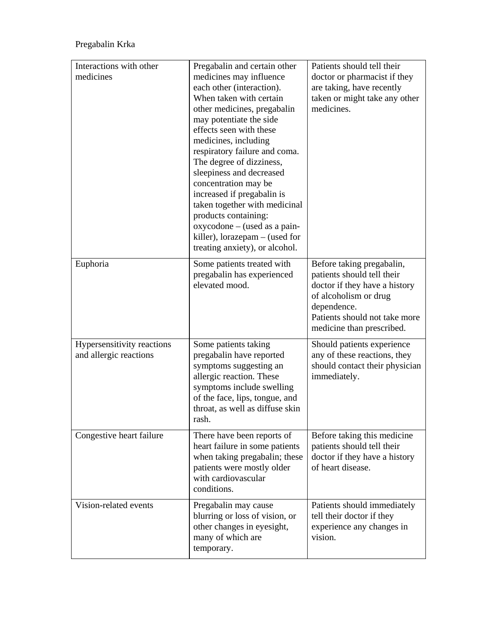| Interactions with other<br>medicines                 | Pregabalin and certain other<br>medicines may influence<br>each other (interaction).<br>When taken with certain<br>other medicines, pregabalin<br>may potentiate the side<br>effects seen with these<br>medicines, including<br>respiratory failure and coma.<br>The degree of dizziness,<br>sleepiness and decreased<br>concentration may be<br>increased if pregabalin is<br>taken together with medicinal<br>products containing:<br>oxycodone - (used as a pain-<br>killer), lorazepam $-$ (used for<br>treating anxiety), or alcohol. | Patients should tell their<br>doctor or pharmacist if they<br>are taking, have recently<br>taken or might take any other<br>medicines.                                                         |
|------------------------------------------------------|--------------------------------------------------------------------------------------------------------------------------------------------------------------------------------------------------------------------------------------------------------------------------------------------------------------------------------------------------------------------------------------------------------------------------------------------------------------------------------------------------------------------------------------------|------------------------------------------------------------------------------------------------------------------------------------------------------------------------------------------------|
| Euphoria                                             | Some patients treated with<br>pregabalin has experienced<br>elevated mood.                                                                                                                                                                                                                                                                                                                                                                                                                                                                 | Before taking pregabalin,<br>patients should tell their<br>doctor if they have a history<br>of alcoholism or drug<br>dependence.<br>Patients should not take more<br>medicine than prescribed. |
| Hypersensitivity reactions<br>and allergic reactions | Some patients taking<br>pregabalin have reported<br>symptoms suggesting an<br>allergic reaction. These<br>symptoms include swelling<br>of the face, lips, tongue, and<br>throat, as well as diffuse skin<br>rash.                                                                                                                                                                                                                                                                                                                          | Should patients experience<br>any of these reactions, they<br>should contact their physician<br>immediately.                                                                                   |
| Congestive heart failure                             | There have been reports of<br>heart failure in some patients<br>when taking pregabalin; these<br>patients were mostly older<br>with cardiovascular<br>conditions.                                                                                                                                                                                                                                                                                                                                                                          | Before taking this medicine<br>patients should tell their<br>doctor if they have a history<br>of heart disease.                                                                                |
| Vision-related events                                | Pregabalin may cause<br>blurring or loss of vision, or<br>other changes in eyesight,<br>many of which are<br>temporary.                                                                                                                                                                                                                                                                                                                                                                                                                    | Patients should immediately<br>tell their doctor if they<br>experience any changes in<br>vision.                                                                                               |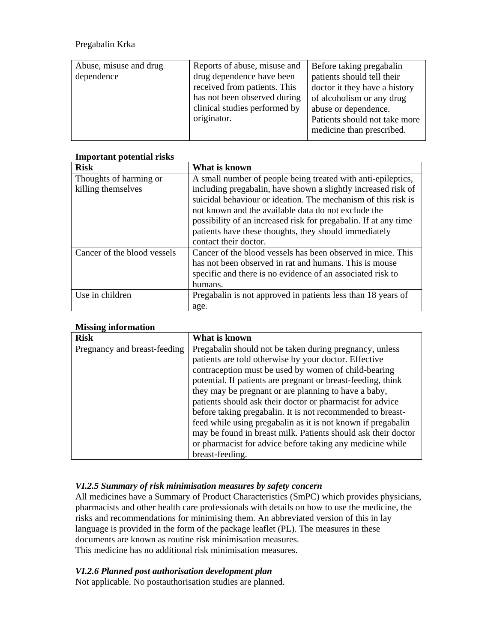| Abuse, misuse and drug<br>dependence | Reports of abuse, misuse and<br>drug dependence have been<br>received from patients. This<br>has not been observed during<br>clinical studies performed by<br>originator. | Before taking pregabalin<br>patients should tell their<br>doctor it they have a history<br>of alcoholism or any drug<br>abuse or dependence.<br>Patients should not take more<br>medicine than prescribed. |
|--------------------------------------|---------------------------------------------------------------------------------------------------------------------------------------------------------------------------|------------------------------------------------------------------------------------------------------------------------------------------------------------------------------------------------------------|
|--------------------------------------|---------------------------------------------------------------------------------------------------------------------------------------------------------------------------|------------------------------------------------------------------------------------------------------------------------------------------------------------------------------------------------------------|

| ппроглант роллиат гізкэ     |                                                                 |
|-----------------------------|-----------------------------------------------------------------|
| <b>Risk</b>                 | What is known                                                   |
| Thoughts of harming or      | A small number of people being treated with anti-epileptics,    |
| killing themselves          | including pregabalin, have shown a slightly increased risk of   |
|                             | suicidal behaviour or ideation. The mechanism of this risk is   |
|                             | not known and the available data do not exclude the             |
|                             | possibility of an increased risk for pregabalin. If at any time |
|                             | patients have these thoughts, they should immediately           |
|                             | contact their doctor.                                           |
| Cancer of the blood vessels | Cancer of the blood vessels has been observed in mice. This     |
|                             | has not been observed in rat and humans. This is mouse          |
|                             | specific and there is no evidence of an associated risk to      |
|                             | humans.                                                         |
| Use in children             | Pregabalin is not approved in patients less than 18 years of    |
|                             | age.                                                            |

## **Important potential risks**

## **Missing information**

| <b>Risk</b>                  | What is known                                                 |
|------------------------------|---------------------------------------------------------------|
| Pregnancy and breast-feeding | Pregabalin should not be taken during pregnancy, unless       |
|                              | patients are told otherwise by your doctor. Effective         |
|                              | contraception must be used by women of child-bearing          |
|                              | potential. If patients are pregnant or breast-feeding, think  |
|                              | they may be pregnant or are planning to have a baby,          |
|                              | patients should ask their doctor or pharmacist for advice     |
|                              | before taking pregabalin. It is not recommended to breast-    |
|                              | feed while using pregabalin as it is not known if pregabalin  |
|                              | may be found in breast milk. Patients should ask their doctor |
|                              | or pharmacist for advice before taking any medicine while     |
|                              | breast-feeding.                                               |

# *VI.2.5 Summary of risk minimisation measures by safety concern*

All medicines have a Summary of Product Characteristics (SmPC) which provides physicians, pharmacists and other health care professionals with details on how to use the medicine, the risks and recommendations for minimising them. An abbreviated version of this in lay language is provided in the form of the package leaflet (PL). The measures in these documents are known as routine risk minimisation measures. This medicine has no additional risk minimisation measures.

### *VI.2.6 Planned post authorisation development plan*

Not applicable. No postauthorisation studies are planned.